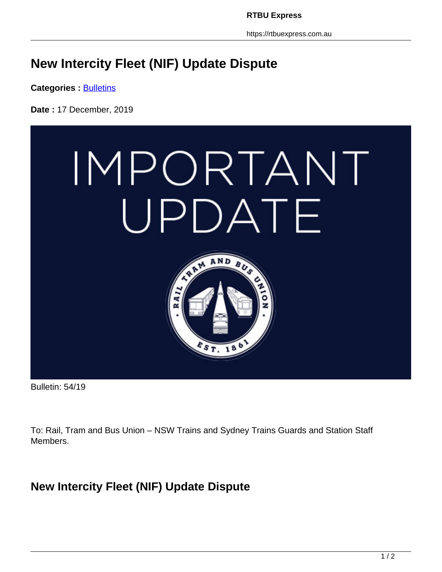https://rtbuexpress.com.au

## **New Intercity Fleet (NIF) Update Dispute**

**Categories : [Bulletins](https://rtbuexpress.com.au/category/news/bulletins/)** 

**Date :** 17 December, 2019



Bulletin: 54/19

To: Rail, Tram and Bus Union – NSW Trains and Sydney Trains Guards and Station Staff Members.

## **New Intercity Fleet (NIF) Update Dispute**